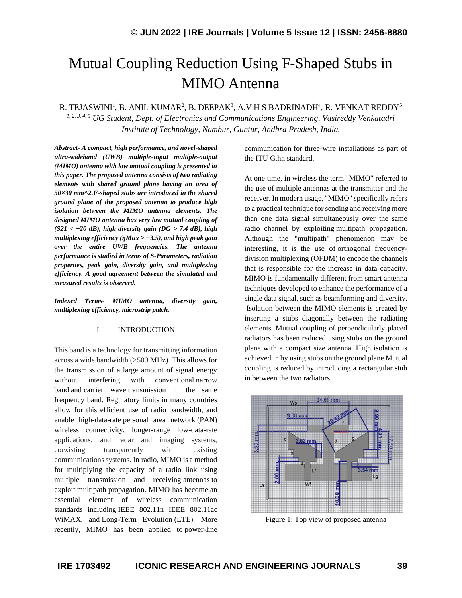# Mutual Coupling Reduction Using F-Shaped Stubs in MIMO Antenna

R. TEJASWINI $^{\rm l}$ , B. ANIL KUMAR $^{\rm 2}$ , B. DEEPAK $^{\rm 3}$ , A.V H S BADRINADH $^{\rm 4}$ , R. VENKAT REDDY $^{\rm 5}$ 

*1, 2, 3, 4, 5 UG Student, Dept. of Electronics and Communications Engineering, Vasireddy Venkatadri Institute of Technology, Nambur, Guntur, Andhra Pradesh, India.*

*Abstract- A compact, high performance, and novel-shaped ultra-wideband (UWB) multiple-input multiple-output (MIMO) antenna with low mutual coupling is presented in this paper. The proposed antenna consists of two radiating elements with shared ground plane having an area of 50×30 mm^2.F-shaped stubs are introduced in the shared ground plane of the proposed antenna to produce high isolation between the MIMO antenna elements. The designed MIMO antenna has very low mutual coupling of (S21 < −20 dB), high diversity gain (DG > 7.4 dB), high multiplexing efficiency (ηMux > −3.5), and high peak gain over the entire UWB frequencies. The antenna performance is studied in terms of S-Parameters, radiation properties, peak gain, diversity gain, and multiplexing efficiency. A good agreement between the simulated and measured results is observed.*

*Indexed Terms- MIMO antenna, diversity gain, multiplexing efficiency, microstrip patch.*

## I. INTRODUCTION

This band is a technology for transmitting information across a wide bandwidth (>500 MHz). This allows for the transmission of a large amount of signal energy without interfering with conventional narrow band and carrier wave transmission in the same frequency band. Regulatory limits in many countries allow for this efficient use of radio bandwidth, and enable high-data-rate personal area network (PAN) wireless connectivity, longer-range low-data-rate applications, and radar and imaging systems, coexisting transparently with existing communications systems. In radio, MIMO is a method for multiplying the capacity of a radio link using multiple transmission and receiving antennas to exploit multipath propagation. MIMO has become an essential element of wireless communication standards including IEEE 802.11n IEEE 802.11ac WiMAX, and Long-Term Evolution (LTE). More recently, MIMO has been applied to power-line communication for three-wire installations as part of the ITU G.hn standard.

At one time, in wireless the term "MIMO" referred to the use of multiple antennas at the transmitter and the receiver. In modern usage, "MIMO" specifically refers to a practical technique for sending and receiving more than one data signal simultaneously over the same radio channel by exploiting multipath propagation. Although the "multipath" phenomenon may be interesting, it is the use of orthogonal frequencydivision multiplexing (OFDM) to encode the channels that is responsible for the increase in data capacity. MIMO is fundamentally different from smart antenna techniques developed to enhance the performance of a single data signal, such as beamforming and diversity. Isolation between the MIMO elements is created by inserting a stubs diagonally between the radiating elements. Mutual coupling of perpendicularly placed radiators has been reduced using stubs on the ground plane with a compact size antenna. High isolation is achieved in by using stubs on the ground plane Mutual coupling is reduced by introducing a rectangular stub in between the two radiators.



Figure 1: Top view of proposed antenna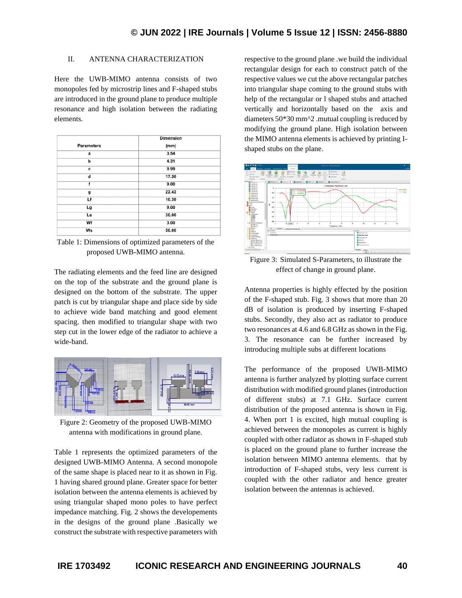# II. ANTENNA CHARACTERIZATION

Here the UWB-MIMO antenna consists of two monopoles fed by microstrip lines and F-shaped stubs are introduced in the ground plane to produce multiple resonance and high isolation between the radiating elements.

|                   | <b>Dimension</b> |  |  |
|-------------------|------------------|--|--|
| <b>Parameters</b> | (mm)             |  |  |
| a                 | 3.54             |  |  |
| b                 | 4.31             |  |  |
| c                 | 9.99             |  |  |
| d                 | 17.50            |  |  |
| f                 | 9.00             |  |  |
| g                 | 22.42            |  |  |
| Lf                | 10.30            |  |  |
| Lg                | 9.00             |  |  |
| Ls                | 30.00            |  |  |
| Wf                | 3.00             |  |  |
| <b>Ws</b>         | 50.00            |  |  |

Table 1: Dimensions of optimized parameters of the proposed UWB-MIMO antenna.

The radiating elements and the feed line are designed on the top of the substrate and the ground plane is designed on the bottom of the substrate. The upper patch is cut by triangular shape and place side by side to achieve wide band matching and good element spacing. then modified to triangular shape with two step cut in the lower edge of the radiator to achieve a wide-band.



Figure 2: Geometry of the proposed UWB-MIMO antenna with modifications in ground plane.

Table 1 represents the optimized parameters of the designed UWB-MIMO Antenna. A second monopole of the same shape is placed near to it as shown in Fig. 1 having shared ground plane. Greater space for better isolation between the antenna elements is achieved by using triangular shaped mono poles to have perfect impedance matching. Fig. 2 shows the developements in the designs of the ground plane .Basically we construct the substrate with respective parameters with

respective to the ground plane .we build the individual rectangular design for each to construct patch of the respective values we cut the above rectangular patches into triangular shape coming to the ground stubs with help of the rectangular or l shaped stubs and attached vertically and horizontally based on the axis and diameters 50\*30 mm^2 .mutual coupling is reduced by modifying the ground plane. High isolation between the MIMO antenna elements is achieved by printing Ishaped stubs on the plane.



Figure 3: Simulated S-Parameters, to illustrate the effect of change in ground plane.

Antenna properties is highly effected by the position of the F-shaped stub. Fig. 3 shows that more than 20 dB of isolation is produced by inserting F-shaped stubs. Secondly, they also act as radiator to produce two resonances at 4.6 and 6.8 GHz as shown in the Fig. 3. The resonance can be further increased by introducing multiple subs at different locations

The performance of the proposed UWB-MIMO antenna is further analyzed by plotting surface current distribution with modified ground planes (introduction of different stubs) at 7.1 GHz. Surface current distribution of the proposed antenna is shown in Fig. 4. When port 1 is excited, high mutual coupling is achieved between the monopoles as current is highly coupled with other radiator as shown in F-shaped stub is placed on the ground plane to further increase the isolation between MIMO antenna elements. that by introduction of F-shaped stubs, very less current is coupled with the other radiator and hence greater isolation between the antennas is achieved.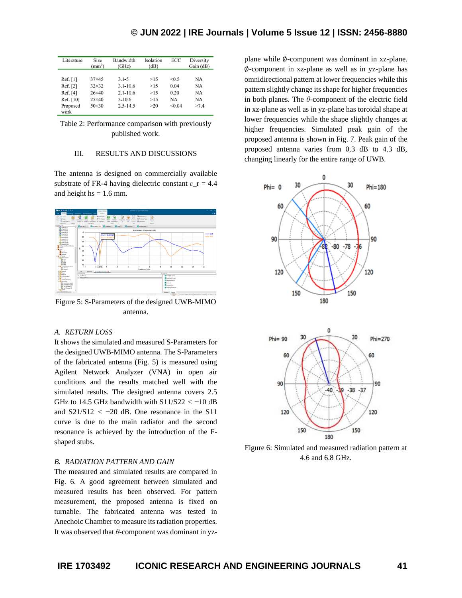| Literature       | Size<br>(mm <sup>2</sup> ) | Bandwidth<br>(GHz) | Isolation<br>(dB) | ECC    | Diversity<br>Gain (dB) |
|------------------|----------------------------|--------------------|-------------------|--------|------------------------|
| Ref. [1]         | $37\times45$               | $3.1 - 5$          | >15               | < 0.5  | NA                     |
| Ref. [2]         | $32\times32$               | $3.1 - 10.6$       | >15               | 0.04   | <b>NA</b>              |
| Ref. [4]         | $26\times40$               | $2.1 - 10.6$       | >15               | 0.20   | NA                     |
| Ref. [10]        | $25\times40$               | $3 - 10.6$         | >15               | NA     | NA                     |
| Proposed<br>work | $50\times30$               | $2.5 - 14.5$       | >20               | < 0.04 | >7.4                   |

Table 2: Performance comparison with previously published work.

## III. RESULTS AND DISCUSSIONS

The antenna is designed on commercially available substrate of FR-4 having dielectric constant  $\varepsilon$ <sub>-</sub> $r = 4.4$ and height hs  $= 1.6$  mm.



Figure 5: S-Parameters of the designed UWB-MIMO antenna.

### *A. RETURN LOSS*

It shows the simulated and measured S-Parameters for the designed UWB-MIMO antenna. The S-Parameters of the fabricated antenna (Fig. 5) is measured using Agilent Network Analyzer (VNA) in open air conditions and the results matched well with the simulated results. The designed antenna covers 2.5 GHz to 14.5 GHz bandwidth with S11/S22 *<* −10 dB and  $S21/S12 < -20$  dB. One resonance in the S11 curve is due to the main radiator and the second resonance is achieved by the introduction of the Fshaped stubs.

### *B. RADIATION PATTERN AND GAIN*

The measured and simulated results are compared in Fig. 6. A good agreement between simulated and measured results has been observed. For pattern measurement, the proposed antenna is fixed on turnable. The fabricated antenna was tested in Anechoic Chamber to measure its radiation properties. It was observed that *θ*-component was dominant in yzplane while ∅-component was dominant in xz-plane. ∅-component in xz-plane as well as in yz-plane has omnidirectional pattern at lower frequencies while this pattern slightly change its shape for higher frequencies in both planes. The *θ*-component of the electric field in xz-plane as well as in yz-plane has toroidal shape at lower frequencies while the shape slightly changes at higher frequencies. Simulated peak gain of the proposed antenna is shown in Fig. 7. Peak gain of the proposed antenna varies from 0.3 dB to 4.3 dB, changing linearly for the entire range of UWB.



Figure 6: Simulated and measured radiation pattern at 4.6 and 6.8 GHz.